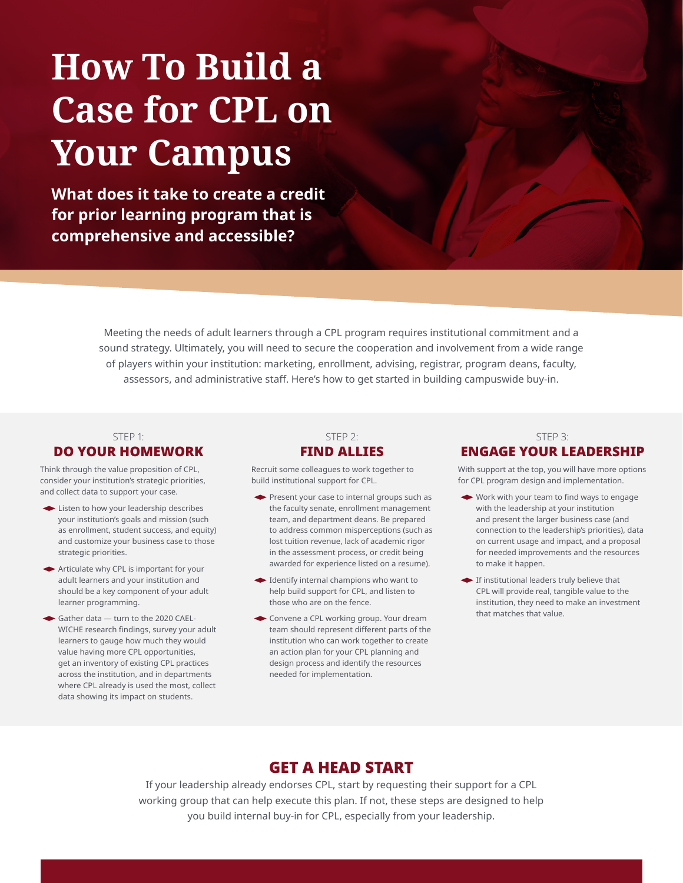# **How To Build a Case for CPL on Your Campus**

**What does it take to create a credit for prior learning program that is comprehensive and accessible?**

> Meeting the needs of adult learners through a CPL program requires institutional commitment and a sound strategy. Ultimately, you will need to secure the cooperation and involvement from a wide range of players within your institution: marketing, enrollment, advising, registrar, program deans, faculty, assessors, and administrative staff. Here's how to get started in building campuswide buy-in.

### STEP<sub>1</sub>:

### DO YOUR HOMEWORK

Think through the value proposition of CPL, consider your institution's strategic priorities, and collect data to support your case.

- ◆ Listen to how your leadership describes your institution's goals and mission (such as enrollment, student success, and equity) and customize your business case to those strategic priorities.
- ◆Articulate why CPL is important for your adult learners and your institution and should be a key component of your adult learner programming.
- ◆Gather data turn to the 2020 CAEL-WICHE research findings, survey your adult learners to gauge how much they would value having more CPL opportunities, get an inventory of existing CPL practices across the institution, and in departments where CPL already is used the most, collect data showing its impact on students.

### STEP<sub>2</sub>: FIND ALLIES

Recruit some colleagues to work together to build institutional support for CPL.

- ◆Present your case to internal groups such as the faculty senate, enrollment management team, and department deans. Be prepared to address common misperceptions (such as lost tuition revenue, lack of academic rigor in the assessment process, or credit being awarded for experience listed on a resume).
- ◆Identify internal champions who want to help build support for CPL, and listen to those who are on the fence.
- ◆ Convene a CPL working group. Your dream team should represent different parts of the institution who can work together to create an action plan for your CPL planning and design process and identify the resources needed for implementation.

### STEP<sub>3</sub>: ENGAGE YOUR LEADERSHIP

With support at the top, you will have more options for CPL program design and implementation.

- ◆Work with your team to find ways to engage with the leadership at your institution and present the larger business case (and connection to the leadership's priorities), data on current usage and impact, and a proposal for needed improvements and the resources to make it happen.
- ◆If institutional leaders truly believe that CPL will provide real, tangible value to the institution, they need to make an investment that matches that value.

### GET A HEAD START

If your leadership already endorses CPL, start by requesting their support for a CPL working group that can help execute this plan. If not, these steps are designed to help you build internal buy-in for CPL, especially from your leadership.